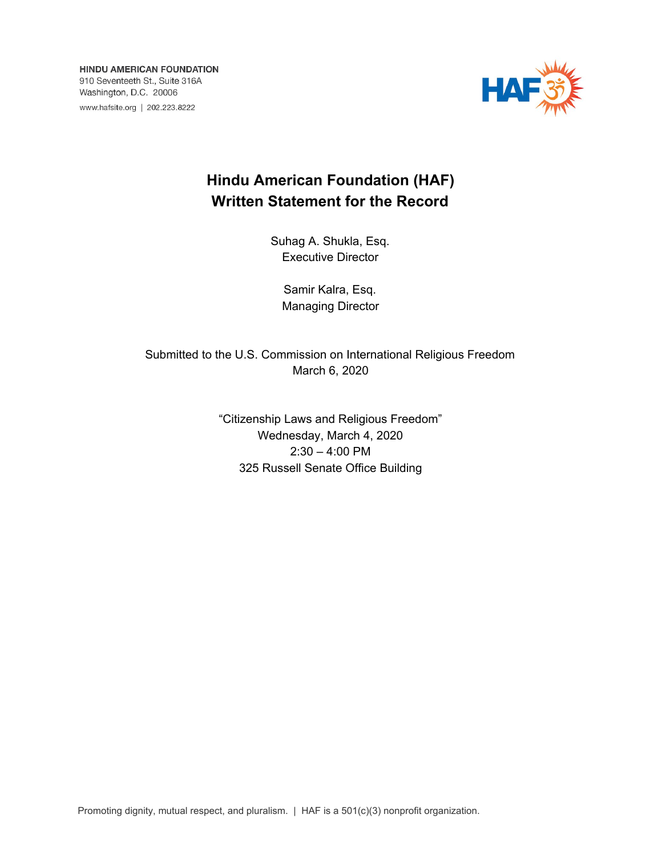**HINDU AMERICAN FOUNDATION** 910 Seventeeth St., Suite 316A Washington, D.C. 20006 www.hafsite.org | 202.223.8222



# **Hindu American Foundation (HAF) Written Statement for the Record**

Suhag A. Shukla, Esq. Executive Director

Samir Kalra, Esq. Managing Director

Submitted to the U.S. Commission on International Religious Freedom March 6, 2020

> "Citizenship Laws and Religious Freedom" Wednesday, March 4, 2020 2:30 – 4:00 PM 325 Russell Senate Office Building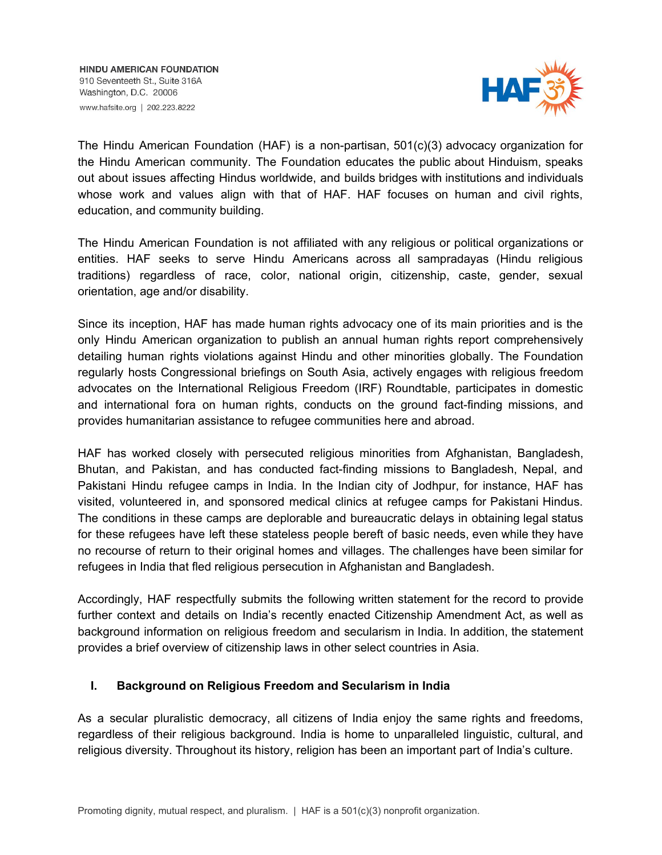

The Hindu American Foundation (HAF) is a non-partisan, 501(c)(3) advocacy organization for the Hindu American community. The Foundation educates the public about Hinduism, speaks out about issues affecting Hindus worldwide, and builds bridges with institutions and individuals whose work and values align with that of HAF. HAF focuses on human and civil rights, education, and community building.

The Hindu American Foundation is not affiliated with any religious or political organizations or entities. HAF seeks to serve Hindu Americans across all sampradayas (Hindu religious traditions) regardless of race, color, national origin, citizenship, caste, gender, sexual orientation, age and/or disability.

Since its inception, HAF has made human rights advocacy one of its main priorities and is the only Hindu American organization to publish an annual human rights report comprehensively detailing human rights violations against Hindu and other minorities globally. The Foundation regularly hosts Congressional briefings on South Asia, actively engages with religious freedom advocates on the International Religious Freedom (IRF) Roundtable, participates in domestic and international fora on human rights, conducts on the ground fact-finding missions, and provides humanitarian assistance to refugee communities here and abroad.

HAF has worked closely with persecuted religious minorities from Afghanistan, Bangladesh, Bhutan, and Pakistan, and has conducted fact-finding missions to Bangladesh, Nepal, and Pakistani Hindu refugee camps in India. In the Indian city of Jodhpur, for instance, HAF has visited, volunteered in, and sponsored medical clinics at refugee camps for Pakistani Hindus. The conditions in these camps are deplorable and bureaucratic delays in obtaining legal status for these refugees have left these stateless people bereft of basic needs, even while they have no recourse of return to their original homes and villages. The challenges have been similar for refugees in India that fled religious persecution in Afghanistan and Bangladesh.

Accordingly, HAF respectfully submits the following written statement for the record to provide further context and details on India's recently enacted Citizenship Amendment Act, as well as background information on religious freedom and secularism in India. In addition, the statement provides a brief overview of citizenship laws in other select countries in Asia.

## **I. Background on Religious Freedom and Secularism in India**

As a secular pluralistic democracy, all citizens of India enjoy the same rights and freedoms, regardless of their religious background. India is home to unparalleled linguistic, cultural, and religious diversity. Throughout its history, religion has been an important part of India's culture.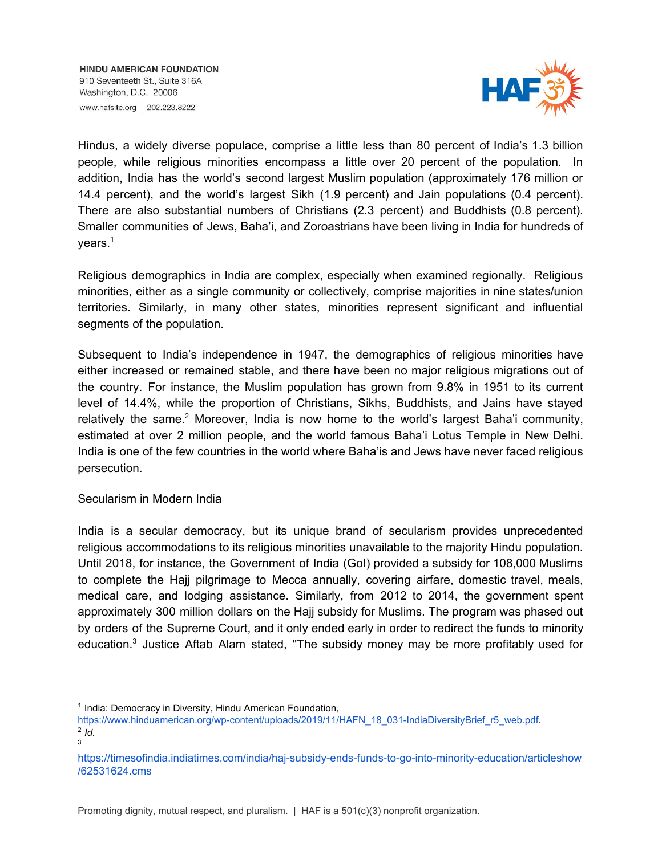

Hindus, a widely diverse populace, comprise a little less than 80 percent of India's 1.3 billion people, while religious minorities encompass a little over 20 percent of the population. In addition, India has the world's second largest Muslim population (approximately 176 million or 14.4 percent), and the world's largest Sikh (1.9 percent) and Jain populations (0.4 percent). There are also substantial numbers of Christians (2.3 percent) and Buddhists (0.8 percent). Smaller communities of Jews, Baha'i, and Zoroastrians have been living in India for hundreds of years. 1

Religious demographics in India are complex, especially when examined regionally. Religious minorities, either as a single community or collectively, comprise majorities in nine states/union territories. Similarly, in many other states, minorities represent significant and influential segments of the population.

Subsequent to India's independence in 1947, the demographics of religious minorities have either increased or remained stable, and there have been no major religious migrations out of the country. For instance, the Muslim population has grown from 9.8% in 1951 to its current level of 14.4%, while the proportion of Christians, Sikhs, Buddhists, and Jains have stayed relatively the same.<sup>2</sup> Moreover, India is now home to the world's largest Baha'i community, estimated at over 2 million people, and the world famous Baha'i Lotus Temple in New Delhi. India is one of the few countries in the world where Baha'is and Jews have never faced religious persecution.

## Secularism in Modern India

India is a secular democracy, but its unique brand of secularism provides unprecedented religious accommodations to its religious minorities unavailable to the majority Hindu population. Until 2018, for instance, the Government of India (GoI) provided a subsidy for 108,000 Muslims to complete the Hajj pilgrimage to Mecca annually, covering airfare, domestic travel, meals, medical care, and lodging assistance. Similarly, from 2012 to 2014, the government spent approximately 300 million dollars on the Hajj subsidy for Muslims. The program was phased out by orders of the Supreme Court, and it only ended early in order to redirect the funds to minority education. $3$  Justice Aftab Alam stated, "The subsidy money may be more profitably used for

<sup>&</sup>lt;sup>1</sup> India: Democracy in Diversity, Hindu American Foundation,

[https://www.hinduamerican.org/wp-content/uploads/2019/11/HAFN\\_18\\_031-IndiaDiversityBrief\\_r5\\_web.pdf](https://www.hinduamerican.org/wp-content/uploads/2019/11/HAFN_18_031-IndiaDiversityBrief_r5_web.pdf). 2 *Id.* 3

[https://timesofindia.indiatimes.com/india/haj-subsidy-ends-funds-to-go-into-minority-education/articleshow](https://timesofindia.indiatimes.com/india/haj-subsidy-ends-funds-to-go-into-minority-education/articleshow/62531624.cms) [/62531624.cms](https://timesofindia.indiatimes.com/india/haj-subsidy-ends-funds-to-go-into-minority-education/articleshow/62531624.cms)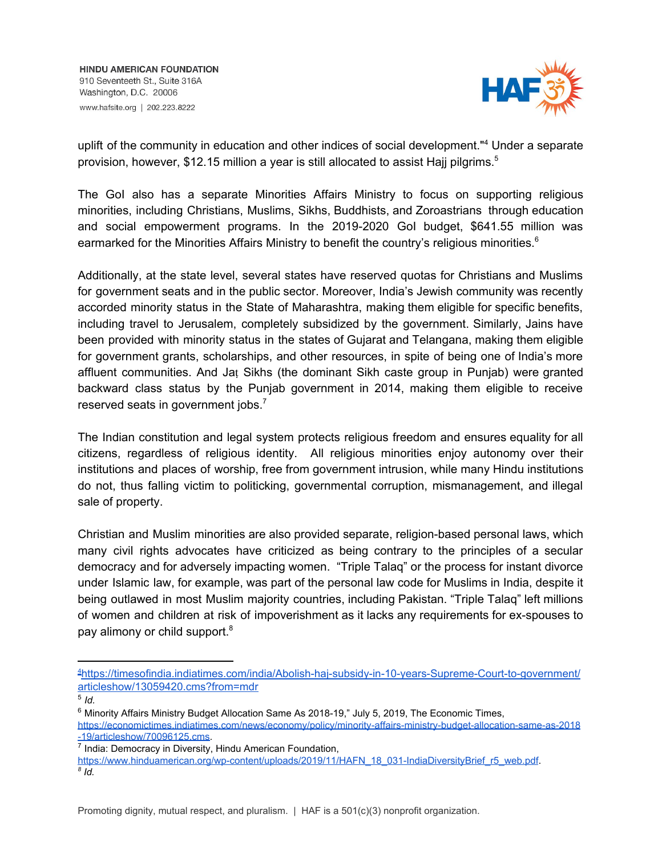

uplift of the community in education and other indices of social development."<sup>4</sup> Under a separate provision, however, \$12.15 million a year is still allocated to assist Hajj pilgrims.<sup>5</sup>

The GoI also has a separate Minorities Affairs Ministry to focus on supporting religious minorities, including Christians, Muslims, Sikhs, Buddhists, and Zoroastrians through education and social empowerment programs. In the 2019-2020 GoI budget, \$641.55 million was earmarked for the Minorities Affairs Ministry to benefit the country's religious minorities.<sup>6</sup>

Additionally, at the state level, several states have reserved quotas for Christians and Muslims for government seats and in the public sector. Moreover, India's Jewish community was recently accorded minority status in the State of Maharashtra, making them eligible for specific benefits, including travel to Jerusalem, completely subsidized by the government. Similarly, Jains have been provided with minority status in the states of Gujarat and Telangana, making them eligible for government grants, scholarships, and other resources, in spite of being one of India's more affluent communities. And Jaṭ Sikhs (the dominant Sikh caste group in Punjab) were granted backward class status by the Punjab government in 2014, making them eligible to receive reserved seats in government jobs. $<sup>7</sup>$ </sup>

The Indian constitution and legal system protects religious freedom and ensures equality for all citizens, regardless of religious identity. All religious minorities enjoy autonomy over their institutions and places of worship, free from government intrusion, while many Hindu institutions do not, thus falling victim to politicking, governmental corruption, mismanagement, and illegal sale of property.

Christian and Muslim minorities are also provided separate, religion-based personal laws, which many civil rights advocates have criticized as being contrary to the principles of a secular democracy and for adversely impacting women. "Triple Talaq" or the process for instant divorce under Islamic law, for example, was part of the personal law code for Muslims in India, despite it being outlawed in most Muslim majority countries, including Pakistan. "Triple Talaq" left millions of women and children at risk of impoverishment as it lacks any requirements for ex-spouses to pay alimony or child support.<sup>8</sup>

<sup>4</sup>[https://timesofindia.indiatimes.com/india/Abolish-haj-subsidy-in-10-years-Supreme-Court-to-government/](https://timesofindia.indiatimes.com/india/Abolish-haj-subsidy-in-10-years-Supreme-Court-to-government/articleshow/13059420.cms?from=mdr) [articleshow/13059420.cms?from=mdr](https://timesofindia.indiatimes.com/india/Abolish-haj-subsidy-in-10-years-Supreme-Court-to-government/articleshow/13059420.cms?from=mdr)

<sup>5</sup> *Id.*

<sup>&</sup>lt;sup>6</sup> Minority Affairs Ministry Budget Allocation Same As 2018-19," July 5, 2019, The Economic Times,

[https://economictimes.indiatimes.com/news/economy/policy/minority-affairs-ministry-budget-allocation-same-as-2018](https://economictimes.indiatimes.com/news/economy/policy/minority-affairs-ministry-budget-allocation-same-as-2018-19/articleshow/70096125.cms) [-19/articleshow/70096125.cms](https://economictimes.indiatimes.com/news/economy/policy/minority-affairs-ministry-budget-allocation-same-as-2018-19/articleshow/70096125.cms).

<sup>&</sup>lt;sup>7</sup> India: Democracy in Diversity, Hindu American Foundation,

[https://www.hinduamerican.org/wp-content/uploads/2019/11/HAFN\\_18\\_031-IndiaDiversityBrief\\_r5\\_web.pdf](https://www.hinduamerican.org/wp-content/uploads/2019/11/HAFN_18_031-IndiaDiversityBrief_r5_web.pdf). *8 Id.*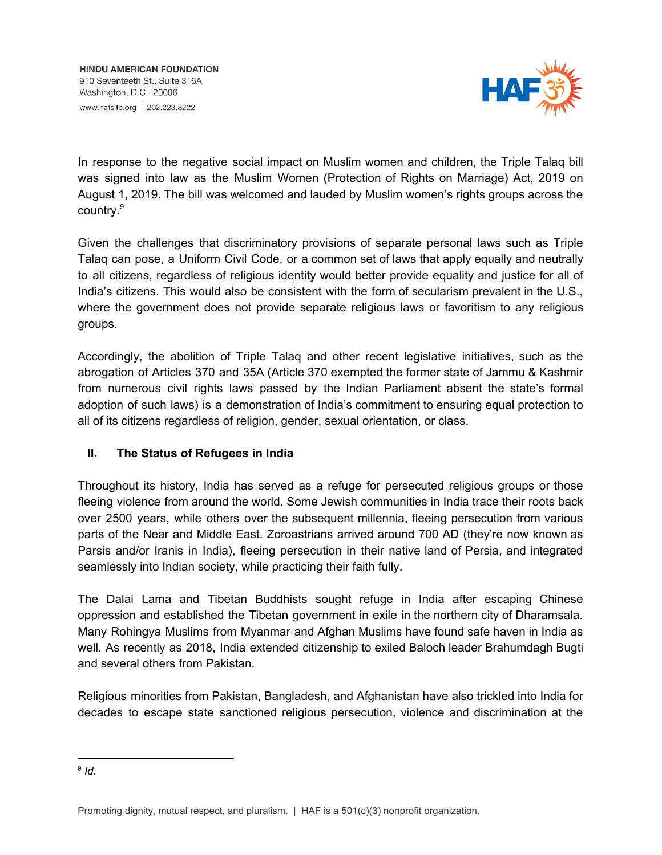

In response to the negative social impact on Muslim women and children, the Triple Talaq bill was signed into law as the Muslim Women (Protection of Rights on Marriage) Act, 2019 on August 1, 2019. The bill was welcomed and lauded by Muslim women's rights groups across the country. 9

Given the challenges that discriminatory provisions of separate personal laws such as Triple Talaq can pose, a Uniform Civil Code, or a common set of laws that apply equally and neutrally to all citizens, regardless of religious identity would better provide equality and justice for all of India's citizens. This would also be consistent with the form of secularism prevalent in the U.S., where the government does not provide separate religious laws or favoritism to any religious groups.

Accordingly, the abolition of Triple Talaq and other recent legislative initiatives, such as the abrogation of Articles 370 and 35A (Article 370 exempted the former state of Jammu & Kashmir from numerous civil rights laws passed by the Indian Parliament absent the state's formal adoption of such laws) is a demonstration of India's commitment to ensuring equal protection to all of its citizens regardless of religion, gender, sexual orientation, or class.

## **II. The Status of Refugees in India**

Throughout its history, India has served as a refuge for persecuted religious groups or those fleeing violence from around the world. Some Jewish communities in India trace their roots back over 2500 years, while others over the subsequent millennia, fleeing persecution from various parts of the Near and Middle East. Zoroastrians arrived around 700 AD (they're now known as Parsis and/or Iranis in India), fleeing persecution in their native land of Persia, and integrated seamlessly into Indian society, while practicing their faith fully.

The Dalai Lama and Tibetan Buddhists sought refuge in India after escaping Chinese oppression and established the Tibetan government in exile in the northern city of Dharamsala. Many Rohingya Muslims from Myanmar and Afghan Muslims have found safe haven in India as well. As recently as 2018, India extended citizenship to exiled Baloch leader Brahumdagh Bugti and several others from Pakistan.

Religious minorities from Pakistan, Bangladesh, and Afghanistan have also trickled into India for decades to escape state sanctioned religious persecution, violence and discrimination at the

<sup>9</sup> *Id.*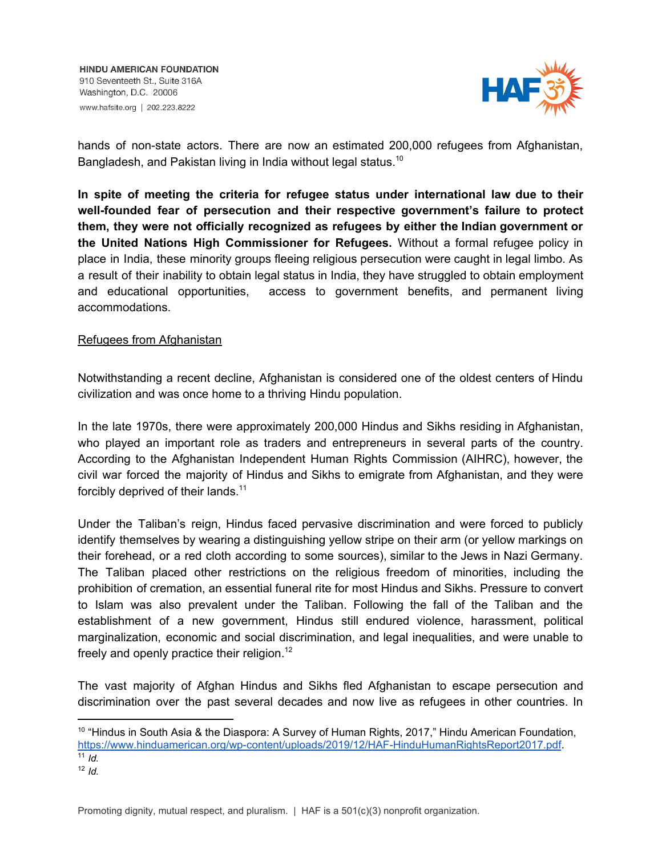

hands of non-state actors. There are now an estimated 200,000 refugees from Afghanistan, Bangladesh, and Pakistan living in India without legal status.<sup>10</sup>

**In spite of meeting the criteria for refugee status under international law due to their well-founded fear of persecution and their respective government's failure to protect them, they were not officially recognized as refugees by either the Indian government or the United Nations High Commissioner for Refugees.** Without a formal refugee policy in place in India, these minority groups fleeing religious persecution were caught in legal limbo. As a result of their inability to obtain legal status in India, they have struggled to obtain employment and educational opportunities, access to government benefits, and permanent living accommodations.

## Refugees from Afghanistan

Notwithstanding a recent decline, Afghanistan is considered one of the oldest centers of Hindu civilization and was once home to a thriving Hindu population.

In the late 1970s, there were approximately 200,000 Hindus and Sikhs residing in Afghanistan, who played an important role as traders and entrepreneurs in several parts of the country. According to the Afghanistan Independent Human Rights Commission (AIHRC), however, the civil war forced the majority of Hindus and Sikhs to emigrate from Afghanistan, and they were forcibly deprived of their lands.<sup>11</sup>

Under the Taliban's reign, Hindus faced pervasive discrimination and were forced to publicly identify themselves by wearing a distinguishing yellow stripe on their arm (or yellow markings on their forehead, or a red cloth according to some sources), similar to the Jews in Nazi Germany. The Taliban placed other restrictions on the religious freedom of minorities, including the prohibition of cremation, an essential funeral rite for most Hindus and Sikhs. Pressure to convert to Islam was also prevalent under the Taliban. Following the fall of the Taliban and the establishment of a new government, Hindus still endured violence, harassment, political marginalization, economic and social discrimination, and legal inequalities, and were unable to freely and openly practice their religion.<sup>12</sup>

The vast majority of Afghan Hindus and Sikhs fled Afghanistan to escape persecution and discrimination over the past several decades and now live as refugees in other countries. In

Promoting dignity, mutual respect, and pluralism.  $|$  HAF is a 501(c)(3) nonprofit organization.

<sup>&</sup>lt;sup>10</sup> "Hindus in South Asia & the Diaspora: A Survey of Human Rights, 2017," Hindu American Foundation, <https://www.hinduamerican.org/wp-content/uploads/2019/12/HAF-HinduHumanRightsReport2017.pdf>.  $\overline{11}$  *Id.* 

 $12$  *Id.*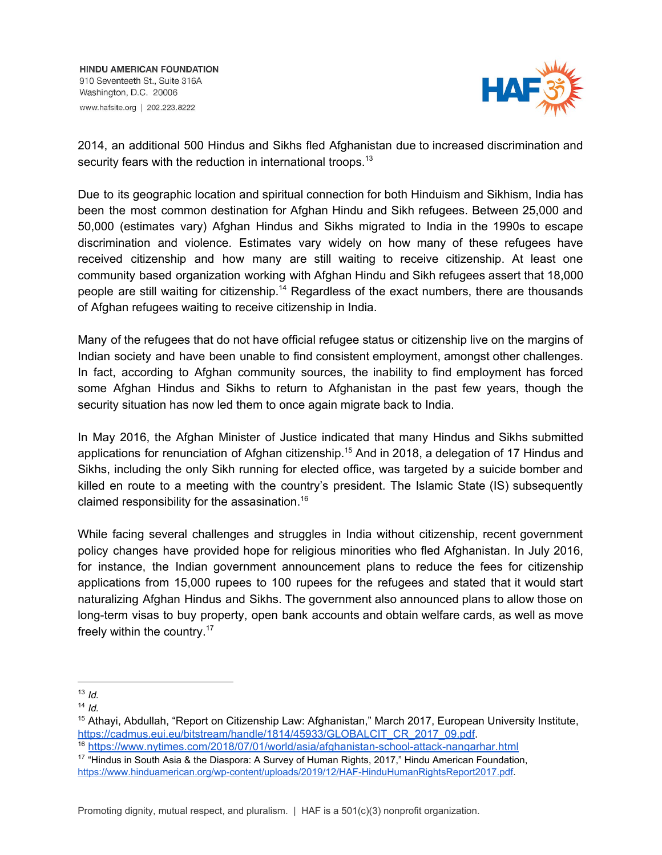

2014, an additional 500 Hindus and Sikhs fled Afghanistan due to increased discrimination and security fears with the reduction in international troops.<sup>13</sup>

Due to its geographic location and spiritual connection for both Hinduism and Sikhism, India has been the most common destination for Afghan Hindu and Sikh refugees. Between 25,000 and 50,000 (estimates vary) Afghan Hindus and Sikhs migrated to India in the 1990s to escape discrimination and violence. Estimates vary widely on how many of these refugees have received citizenship and how many are still waiting to receive citizenship. At least one community based organization working with Afghan Hindu and Sikh refugees assert that 18,000 people are still waiting for citizenship.<sup>14</sup> Regardless of the exact numbers, there are thousands of Afghan refugees waiting to receive citizenship in India.

Many of the refugees that do not have official refugee status or citizenship live on the margins of Indian society and have been unable to find consistent employment, amongst other challenges. In fact, according to Afghan community sources, the inability to find employment has forced some Afghan Hindus and Sikhs to return to Afghanistan in the past few years, though the security situation has now led them to once again migrate back to India.

In May 2016, the Afghan Minister of Justice indicated that many Hindus and Sikhs submitted applications for renunciation of Afghan citizenship.<sup>15</sup> And in 2018, a delegation of 17 Hindus and Sikhs, including the only Sikh running for elected office, was targeted by a suicide bomber and killed en route to a meeting with the country's president. The Islamic State (IS) subsequently claimed responsibility for the assasination. 16

While facing several challenges and struggles in India without citizenship, recent government policy changes have provided hope for religious minorities who fled Afghanistan. In July 2016, for instance, the Indian government announcement plans to reduce the fees for citizenship applications from 15,000 rupees to 100 rupees for the refugees and stated that it would start naturalizing Afghan Hindus and Sikhs. The government also announced plans to allow those on long-term visas to buy property, open bank accounts and obtain welfare cards, as well as move freely within the country.<sup>17</sup>

<sup>13</sup> *Id.*

 $14$  *Id.* 

<sup>15</sup> Athayi, Abdullah, "Report on Citizenship Law: Afghanistan," March 2017, European University Institute, [https://cadmus.eui.eu/bitstream/handle/1814/45933/GLOBALCIT\\_CR\\_2017\\_09.pdf.](https://cadmus.eui.eu/bitstream/handle/1814/45933/GLOBALCIT_CR_2017_09.pdf)

<sup>16</sup> <https://www.nytimes.com/2018/07/01/world/asia/afghanistan-school-attack-nangarhar.html>

<sup>&</sup>lt;sup>17</sup> "Hindus in South Asia & the Diaspora: A Survey of Human Rights, 2017," Hindu American Foundation, [https://www.hinduamerican.org/wp-content/uploads/2019/12/HAF-HinduHumanRightsReport2017.pdf.](https://www.hinduamerican.org/wp-content/uploads/2019/12/HAF-HinduHumanRightsReport2017.pdf)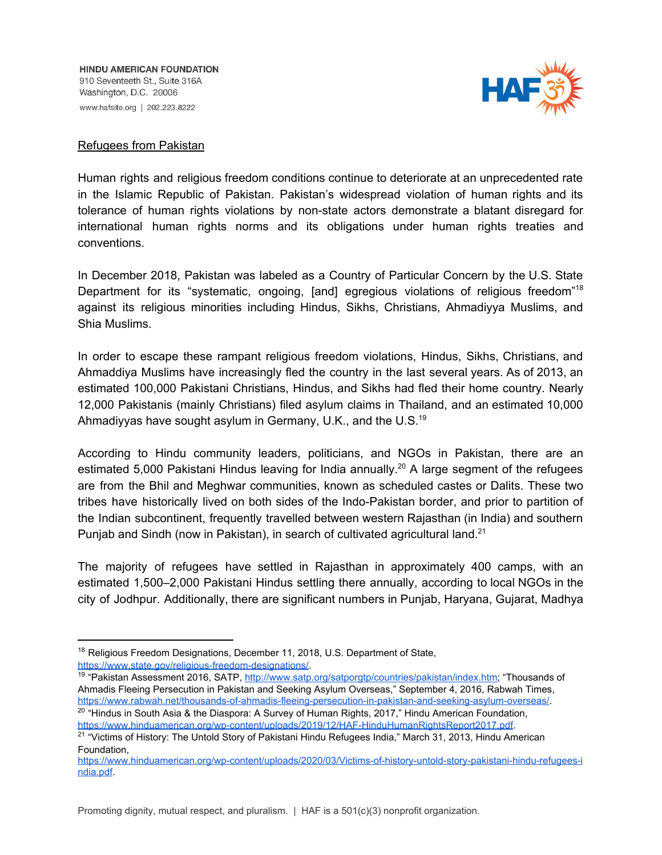

#### Refugees from Pakistan

Human rights and religious freedom conditions continue to deteriorate at an unprecedented rate in the Islamic Republic of Pakistan. Pakistan's widespread violation of human rights and its tolerance of human rights violations by non-state actors demonstrate a blatant disregard for international human rights norms and its obligations under human rights treaties and conventions.

In December 2018, Pakistan was labeled as a Country of Particular Concern by the U.S. State Department for its "systematic, ongoing, [and] egregious violations of religious freedom"<sup>18</sup> against its religious minorities including Hindus, Sikhs, Christians, Ahmadiyya Muslims, and Shia Muslims.

In order to escape these rampant religious freedom violations, Hindus, Sikhs, Christians, and Ahmaddiya Muslims have increasingly fled the country in the last several years. As of 2013, an estimated 100,000 Pakistani Christians, Hindus, and Sikhs had fled their home country. Nearly 12,000 Pakistanis (mainly Christians) filed asylum claims in Thailand, and an estimated 10,000 Ahmadiyyas have sought asylum in Germany, U.K., and the U.S.<sup>19</sup>

According to Hindu community leaders, politicians, and NGOs in Pakistan, there are an estimated 5,000 Pakistani Hindus leaving for India annually.<sup>20</sup> A large segment of the refugees are from the Bhil and Meghwar communities, known as scheduled castes or Dalits. These two tribes have historically lived on both sides of the Indo-Pakistan border, and prior to partition of the Indian subcontinent, frequently travelled between western Rajasthan (in India) and southern Punjab and Sindh (now in Pakistan), in search of cultivated agricultural land.<sup>21</sup>

The majority of refugees have settled in Rajasthan in approximately 400 camps, with an estimated 1,500–2,000 Pakistani Hindus settling there annually, according to local NGOs in the city of Jodhpur. Additionally, there are significant numbers in Punjab, Haryana, Gujarat, Madhya

<sup>&</sup>lt;sup>18</sup> Religious Freedom Designations, December 11, 2018, U.S. Department of State, [https://www.state.gov/religious-freedom-designations/.](https://www.state.gov/religious-freedom-designations/)

<sup>&</sup>lt;sup>19</sup> "Pakistan Assessment 2016, SATP,<http://www.satp.org/satporgtp/countries/pakistan/index.htm>; "Thousands of Ahmadis Fleeing Persecution in Pakistan and Seeking Asylum Overseas," September 4, 2016, Rabwah Times, <https://www.rabwah.net/thousands-of-ahmadis-fleeing-persecution-in-pakistan-and-seeking-asylum-overseas/>. <sup>20</sup> "Hindus in South Asia & the Diaspora: A Survey of Human Rights, 2017," Hindu American Foundation,

[https://www.hinduamerican.org/wp-content/uploads/2019/12/HAF-HinduHumanRightsReport2017.pdf.](https://www.hinduamerican.org/wp-content/uploads/2019/12/HAF-HinduHumanRightsReport2017.pdf)

<sup>&</sup>lt;sup>21</sup> "Victims of History: The Untold Story of Pakistani Hindu Refugees India," March 31, 2013, Hindu American Foundation,

[https://www.hinduamerican.org/wp-content/uploads/2020/03/Victims-of-history-untold-story-pakistani-hindu-refugees-i](https://www.hinduamerican.org/wp-content/uploads/2020/03/Victims-of-history-untold-story-pakistani-hindu-refugees-india.pdf) [ndia.pdf](https://www.hinduamerican.org/wp-content/uploads/2020/03/Victims-of-history-untold-story-pakistani-hindu-refugees-india.pdf).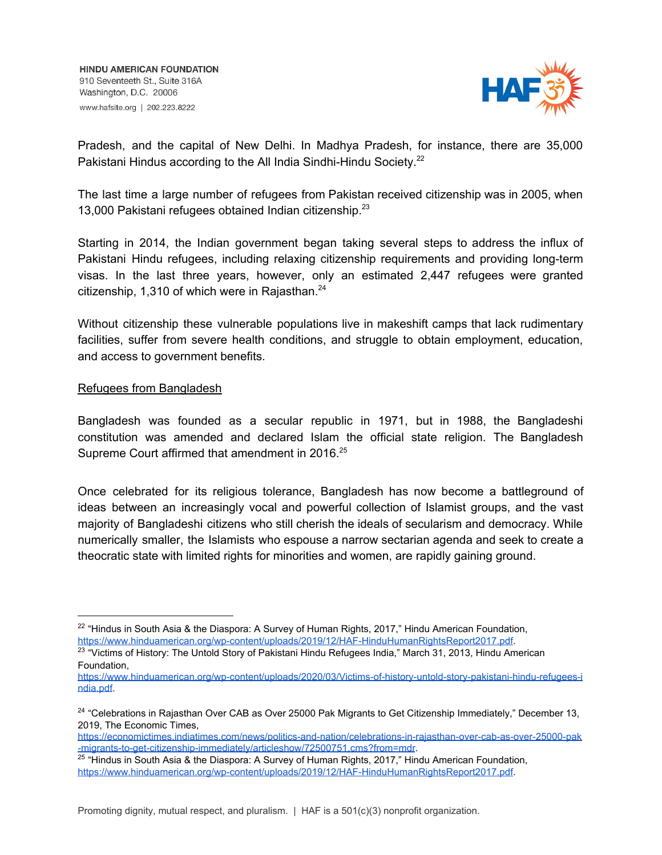

Pradesh, and the capital of New Delhi. In Madhya Pradesh, for instance, there are 35,000 Pakistani Hindus according to the All India Sindhi-Hindu Society.<sup>22</sup>

The last time a large number of refugees from Pakistan received citizenship was in 2005, when 13,000 Pakistani refugees obtained Indian citizenship. 23

Starting in 2014, the Indian government began taking several steps to address the influx of Pakistani Hindu refugees, including relaxing citizenship requirements and providing long-term visas. In the last three years, however, only an estimated 2,447 refugees were granted citizenship, 1,310 of which were in Rajasthan.<sup>24</sup>

Without citizenship these vulnerable populations live in makeshift camps that lack rudimentary facilities, suffer from severe health conditions, and struggle to obtain employment, education, and access to government benefits.

## Refugees from Bangladesh

Bangladesh was founded as a secular republic in 1971, but in 1988, the Bangladeshi constitution was amended and declared Islam the official state religion. The Bangladesh Supreme Court affirmed that amendment in 2016.<sup>25</sup>

Once celebrated for its religious tolerance, Bangladesh has now become a battleground of ideas between an increasingly vocal and powerful collection of Islamist groups, and the vast majority of Bangladeshi citizens who still cherish the ideals of secularism and democracy. While numerically smaller, the Islamists who espouse a narrow sectarian agenda and seek to create a theocratic state with limited rights for minorities and women, are rapidly gaining ground.

[https://economictimes.indiatimes.com/news/politics-and-nation/celebrations-in-rajasthan-over-cab-as-over-25000-pak](https://economictimes.indiatimes.com/news/politics-and-nation/celebrations-in-rajasthan-over-cab-as-over-25000-pak-migrants-to-get-citizenship-immediately/articleshow/72500751.cms?from=mdr) [-migrants-to-get-citizenship-immediately/articleshow/72500751.cms?from=mdr](https://economictimes.indiatimes.com/news/politics-and-nation/celebrations-in-rajasthan-over-cab-as-over-25000-pak-migrants-to-get-citizenship-immediately/articleshow/72500751.cms?from=mdr).

 $22$  "Hindus in South Asia & the Diaspora: A Survey of Human Rights, 2017," Hindu American Foundation, [https://www.hinduamerican.org/wp-content/uploads/2019/12/HAF-HinduHumanRightsReport2017.pdf.](https://www.hinduamerican.org/wp-content/uploads/2019/12/HAF-HinduHumanRightsReport2017.pdf)

<sup>&</sup>lt;sup>23</sup> "Victims of History: The Untold Story of Pakistani Hindu Refugees India," March 31, 2013, Hindu American Foundation,

[https://www.hinduamerican.org/wp-content/uploads/2020/03/Victims-of-history-untold-story-pakistani-hindu-refugees-i](https://www.hinduamerican.org/wp-content/uploads/2020/03/Victims-of-history-untold-story-pakistani-hindu-refugees-india.pdf) [ndia.pdf](https://www.hinduamerican.org/wp-content/uploads/2020/03/Victims-of-history-untold-story-pakistani-hindu-refugees-india.pdf).

<sup>&</sup>lt;sup>24</sup> "Celebrations in Rajasthan Over CAB as Over 25000 Pak Migrants to Get Citizenship Immediately," December 13, 2019, The Economic Times,

<sup>&</sup>lt;sup>25</sup> "Hindus in South Asia & the Diaspora: A Survey of Human Rights, 2017," Hindu American Foundation, [https://www.hinduamerican.org/wp-content/uploads/2019/12/HAF-HinduHumanRightsReport2017.pdf.](https://www.hinduamerican.org/wp-content/uploads/2019/12/HAF-HinduHumanRightsReport2017.pdf)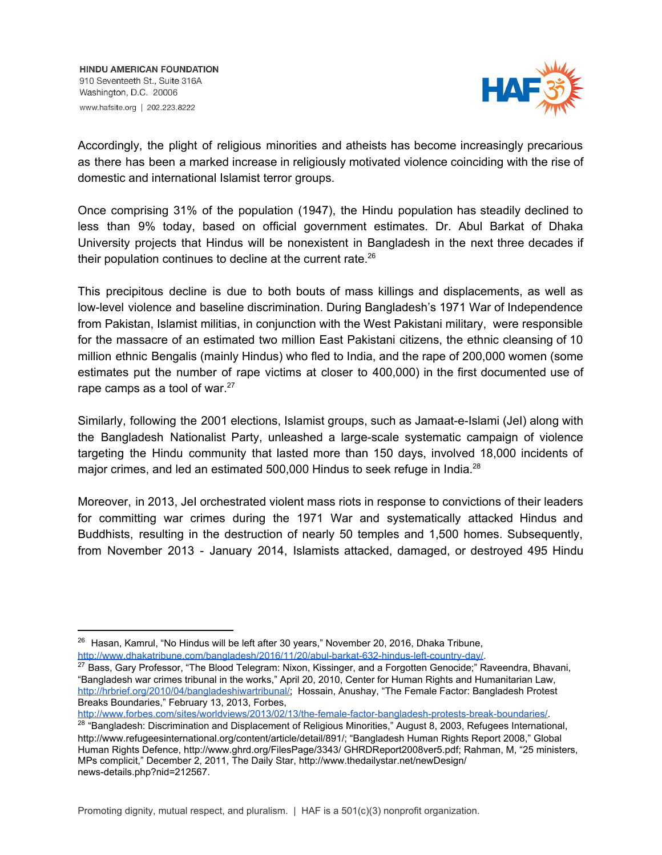

Accordingly, the plight of religious minorities and atheists has become increasingly precarious as there has been a marked increase in religiously motivated violence coinciding with the rise of domestic and international Islamist terror groups.

Once comprising 31% of the population (1947), the Hindu population has steadily declined to less than 9% today, based on official government estimates. Dr. Abul Barkat of Dhaka University projects that Hindus will be nonexistent in Bangladesh in the next three decades if their population continues to decline at the current rate.<sup>26</sup>

This precipitous decline is due to both bouts of mass killings and displacements, as well as low-level violence and baseline discrimination. During Bangladesh's 1971 War of Independence from Pakistan, Islamist militias, in conjunction with the West Pakistani military, were responsible for the massacre of an estimated two million East Pakistani citizens, the ethnic cleansing of 10 million ethnic Bengalis (mainly Hindus) who fled to India, and the rape of 200,000 women (some estimates put the number of rape victims at closer to 400,000) in the first documented use of rape camps as a tool of war. $27$ 

Similarly, following the 2001 elections, Islamist groups, such as Jamaat-e-Islami (JeI) along with the Bangladesh Nationalist Party, unleashed a large-scale systematic campaign of violence targeting the Hindu community that lasted more than 150 days, involved 18,000 incidents of major crimes, and led an estimated 500,000 Hindus to seek refuge in India.<sup>28</sup>

Moreover, in 2013, JeI orchestrated violent mass riots in response to convictions of their leaders for committing war crimes during the 1971 War and systematically attacked Hindus and Buddhists, resulting in the destruction of nearly 50 temples and 1,500 homes. Subsequently, from November 2013 - January 2014, Islamists attacked, damaged, or destroyed 495 Hindu

[http://www.forbes.com/sites/worldviews/2013/02/13/the-female-factor-bangladesh-protests-break-boundaries/.](http://www.forbes.com/sites/worldviews/2013/02/13/the-female-factor-bangladesh-protests-break-boundaries/)

<sup>&</sup>lt;sup>26</sup> Hasan, Kamrul, "No Hindus will be left after 30 years," November 20, 2016, Dhaka Tribune, <http://www.dhakatribune.com/bangladesh/2016/11/20/abul-barkat-632-hindus-left-country-day/>.

<sup>&</sup>lt;sup>27</sup> Bass, Gary Professor, "The Blood Telegram: Nixon, Kissinger, and a Forgotten Genocide;" Raveendra, Bhavani, "Bangladesh war crimes tribunal in the works," April 20, 2010, Center for Human Rights and Humanitarian Law, <http://hrbrief.org/2010/04/bangladeshiwartribunal/>; Hossain, Anushay, "The Female Factor: Bangladesh Protest Breaks Boundaries," February 13, 2013, Forbes,

<sup>&</sup>lt;sup>28 "</sup>Bangladesh: Discrimination and Displacement of Religious Minorities," August 8, 2003, Refugees International, http://www.refugeesinternational.org/content/article/detail/891/; "Bangladesh Human Rights Report 2008," Global Human Rights Defence, http://www.ghrd.org/FilesPage/3343/ GHRDReport2008ver5.pdf; Rahman, M, "25 ministers, MPs complicit," December 2, 2011, The Daily Star, http://www.thedailystar.net/newDesign/ news-details.php?nid=212567.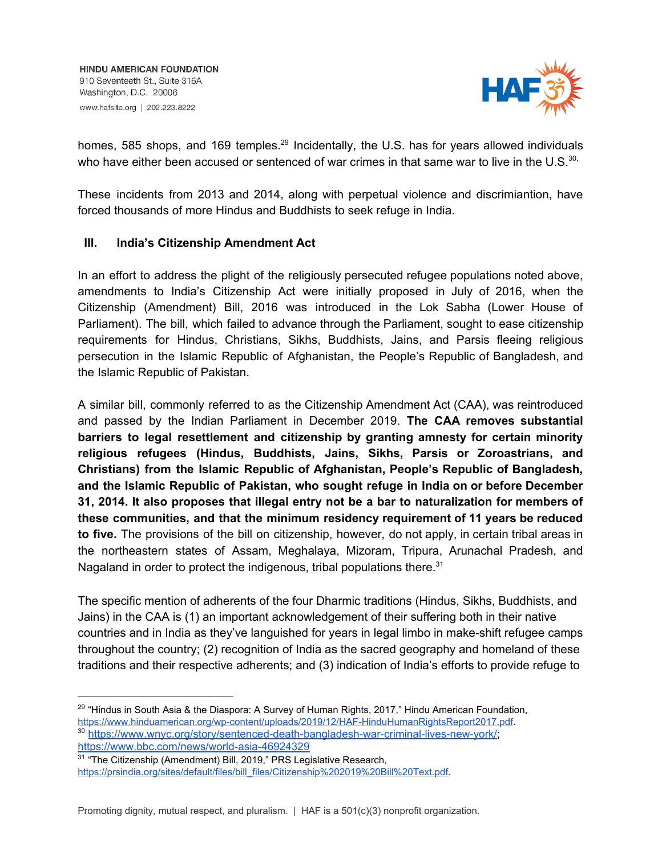

homes, 585 shops, and 169 temples.<sup>29</sup> Incidentally, the U.S. has for years allowed individuals who have either been accused or sentenced of war crimes in that same war to live in the U.S. $^{30}$ .

These incidents from 2013 and 2014, along with perpetual violence and discrimiantion, have forced thousands of more Hindus and Buddhists to seek refuge in India.

## **III. India's Citizenship Amendment Act**

In an effort to address the plight of the religiously persecuted refugee populations noted above, amendments to India's Citizenship Act were initially proposed in July of 2016, when the Citizenship (Amendment) Bill, 2016 was introduced in the Lok Sabha (Lower House of Parliament). The bill, which failed to advance through the Parliament, sought to ease citizenship requirements for Hindus, Christians, Sikhs, Buddhists, Jains, and Parsis fleeing religious persecution in the Islamic Republic of Afghanistan, the People's Republic of Bangladesh, and the Islamic Republic of Pakistan.

A similar bill, commonly referred to as the Citizenship Amendment Act (CAA), was reintroduced and passed by the Indian Parliament in December 2019. **The CAA removes substantial barriers to legal resettlement and citizenship by granting amnesty for certain minority religious refugees (Hindus, Buddhists, Jains, Sikhs, Parsis or Zoroastrians, and Christians) from the Islamic Republic of Afghanistan, People's Republic of Bangladesh, and the Islamic Republic of Pakistan, who sought refuge in India on or before December 31, 2014. It also proposes that illegal entry not be a bar to naturalization for members of these communities, and that the minimum residency requirement of 11 years be reduced to five.** The provisions of the bill on citizenship, however, do not apply, in certain tribal areas in the northeastern states of Assam, Meghalaya, Mizoram, Tripura, Arunachal Pradesh, and Nagaland in order to protect the indigenous, tribal populations there.<sup>31</sup>

The specific mention of adherents of the four Dharmic traditions (Hindus, Sikhs, Buddhists, and Jains) in the CAA is (1) an important acknowledgement of their suffering both in their native countries and in India as they've languished for years in legal limbo in make-shift refugee camps throughout the country; (2) recognition of India as the sacred geography and homeland of these traditions and their respective adherents; and (3) indication of India's efforts to provide refuge to

 $29$  "Hindus in South Asia & the Diaspora: A Survey of Human Rights, 2017," Hindu American Foundation, [https://www.hinduamerican.org/wp-content/uploads/2019/12/HAF-HinduHumanRightsReport2017.pdf.](https://www.hinduamerican.org/wp-content/uploads/2019/12/HAF-HinduHumanRightsReport2017.pdf) <sup>30</sup> [https://www.wnyc.org/story/sentenced-death-bangladesh-war-criminal-lives-new-york/;](https://www.wnyc.org/story/sentenced-death-bangladesh-war-criminal-lives-new-york/) <https://www.bbc.com/news/world-asia-46924329>

<sup>&</sup>lt;sup>31</sup> "The Citizenship (Amendment) Bill, 2019," PRS Legislative Research, [https://prsindia.org/sites/default/files/bill\\_files/Citizenship%202019%20Bill%20Text.pdf.](https://prsindia.org/sites/default/files/bill_files/Citizenship%202019%20Bill%20Text.pdf)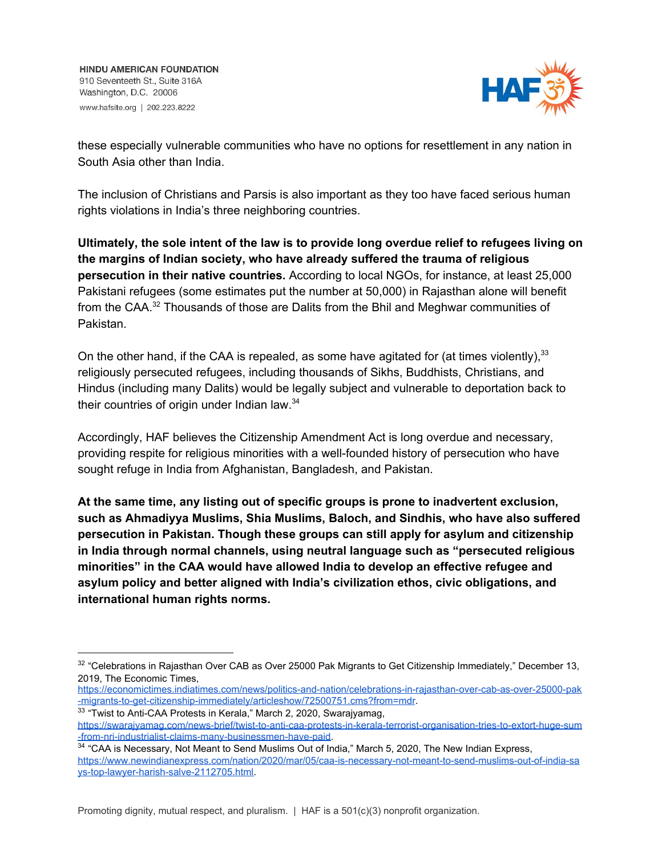

these especially vulnerable communities who have no options for resettlement in any nation in South Asia other than India.

The inclusion of Christians and Parsis is also important as they too have faced serious human rights violations in India's three neighboring countries.

**Ultimately, the sole intent of the law is to provide long overdue relief to refugees living on the margins of Indian society, who have already suffered the trauma of religious persecution in their native countries.** According to local NGOs, for instance, at least 25,000 Pakistani refugees (some estimates put the number at 50,000) in Rajasthan alone will benefit from the CAA. $^{32}$  Thousands of those are Dalits from the Bhil and Meghwar communities of Pakistan.

On the other hand, if the CAA is repealed, as some have agitated for (at times violently),  $33$ religiously persecuted refugees, including thousands of Sikhs, Buddhists, Christians, and Hindus (including many Dalits) would be legally subject and vulnerable to deportation back to their countries of origin under Indian law.<sup>34</sup>

Accordingly, HAF believes the Citizenship Amendment Act is long overdue and necessary, providing respite for religious minorities with a well-founded history of persecution who have sought refuge in India from Afghanistan, Bangladesh, and Pakistan.

**At the same time, any listing out of specific groups is prone to inadvertent exclusion, such as Ahmadiyya Muslims, Shia Muslims, Baloch, and Sindhis, who have also suffered persecution in Pakistan. Though these groups can still apply for asylum and citizenship in India through normal channels, using neutral language such as "persecuted religious minorities" in the CAA would have allowed India to develop an effective refugee and asylum policy and better aligned with India's civilization ethos, civic obligations, and international human rights norms.**

<sup>&</sup>lt;sup>32</sup> "Celebrations in Rajasthan Over CAB as Over 25000 Pak Migrants to Get Citizenship Immediately," December 13, 2019, The Economic Times,

[https://economictimes.indiatimes.com/news/politics-and-nation/celebrations-in-rajasthan-over-cab-as-over-25000-pak](https://economictimes.indiatimes.com/news/politics-and-nation/celebrations-in-rajasthan-over-cab-as-over-25000-pak-migrants-to-get-citizenship-immediately/articleshow/72500751.cms?from=mdr) [-migrants-to-get-citizenship-immediately/articleshow/72500751.cms?from=mdr](https://economictimes.indiatimes.com/news/politics-and-nation/celebrations-in-rajasthan-over-cab-as-over-25000-pak-migrants-to-get-citizenship-immediately/articleshow/72500751.cms?from=mdr).

<sup>&</sup>lt;sup>33</sup> "Twist to Anti-CAA Protests in Kerala," March 2, 2020, Swarajyamag,

[https://swarajyamag.com/news-brief/twist-to-anti-caa-protests-in-kerala-terrorist-organisation-tries-to-extort-huge-sum](https://swarajyamag.com/news-brief/twist-to-anti-caa-protests-in-kerala-terrorist-organisation-tries-to-extort-huge-sum-from-nri-industrialist-claims-many-businessmen-have-paid) [-from-nri-industrialist-claims-many-businessmen-have-paid](https://swarajyamag.com/news-brief/twist-to-anti-caa-protests-in-kerala-terrorist-organisation-tries-to-extort-huge-sum-from-nri-industrialist-claims-many-businessmen-have-paid).

<sup>&</sup>lt;sup>34</sup> "CAA is Necessary, Not Meant to Send Muslims Out of India," March 5, 2020, The New Indian Express, [https://www.newindianexpress.com/nation/2020/mar/05/caa-is-necessary-not-meant-to-send-muslims-out-of-india-sa](https://www.newindianexpress.com/nation/2020/mar/05/caa-is-necessary-not-meant-to-send-muslims-out-of-india-says-top-lawyer-harish-salve-2112705.html) [ys-top-lawyer-harish-salve-2112705.html.](https://www.newindianexpress.com/nation/2020/mar/05/caa-is-necessary-not-meant-to-send-muslims-out-of-india-says-top-lawyer-harish-salve-2112705.html)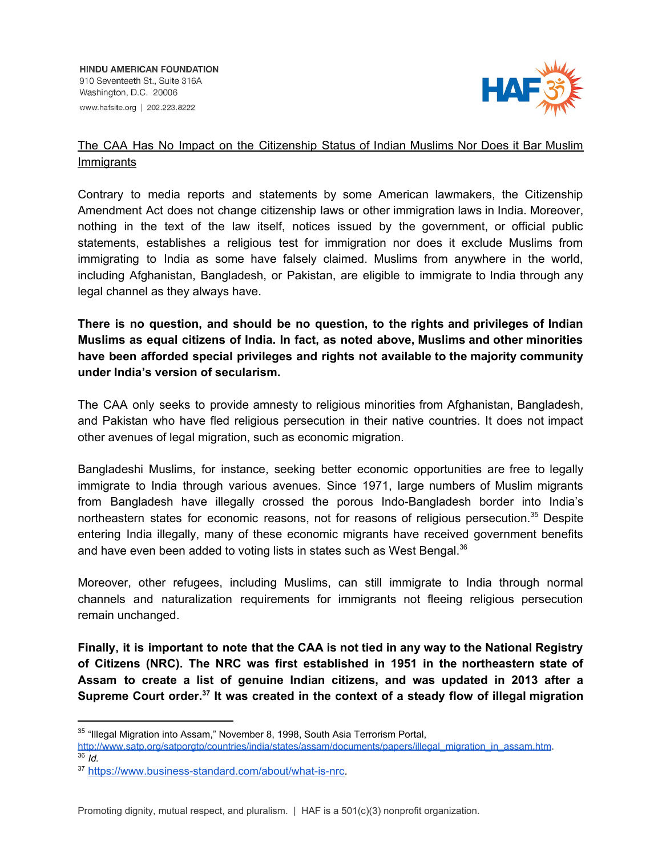

## The CAA Has No Impact on the Citizenship Status of Indian Muslims Nor Does it Bar Muslim Immigrants

Contrary to media reports and statements by some American lawmakers, the Citizenship Amendment Act does not change citizenship laws or other immigration laws in India. Moreover, nothing in the text of the law itself, notices issued by the government, or official public statements, establishes a religious test for immigration nor does it exclude Muslims from immigrating to India as some have falsely claimed. Muslims from anywhere in the world, including Afghanistan, Bangladesh, or Pakistan, are eligible to immigrate to India through any legal channel as they always have.

**There is no question, and should be no question, to the rights and privileges of Indian Muslims as equal citizens of India. In fact, as noted above, Muslims and other minorities have been afforded special privileges and rights not available to the majority community under India's version of secularism.**

The CAA only seeks to provide amnesty to religious minorities from Afghanistan, Bangladesh, and Pakistan who have fled religious persecution in their native countries. It does not impact other avenues of legal migration, such as economic migration.

Bangladeshi Muslims, for instance, seeking better economic opportunities are free to legally immigrate to India through various avenues. Since 1971, large numbers of Muslim migrants from Bangladesh have illegally crossed the porous Indo-Bangladesh border into India's northeastern states for economic reasons, not for reasons of religious persecution.<sup>35</sup> Despite entering India illegally, many of these economic migrants have received government benefits and have even been added to voting lists in states such as West Bengal. $^{36}$ 

Moreover, other refugees, including Muslims, can still immigrate to India through normal channels and naturalization requirements for immigrants not fleeing religious persecution remain unchanged.

Finally, it is important to note that the CAA is not tied in any way to the National Registry **of Citizens (NRC). The NRC was first established in 1951 in the northeastern state of Assam to create a list of genuine Indian citizens, and was updated in 2013 after a Supreme Court order. It was created in the context of a steady flow of illegal migration 37**

<sup>&</sup>lt;sup>35</sup> "Illegal Migration into Assam," November 8, 1998, South Asia Terrorism Portal,

[http://www.satp.org/satporgtp/countries/india/states/assam/documents/papers/illegal\\_migration\\_in\\_assam.htm](http://www.satp.org/satporgtp/countries/india/states/assam/documents/papers/illegal_migration_in_assam.htm).  $36$   $\overline{1}$ *d*.

<sup>37</sup> [https://www.business-standard.com/about/what-is-nrc.](https://www.business-standard.com/about/what-is-nrc)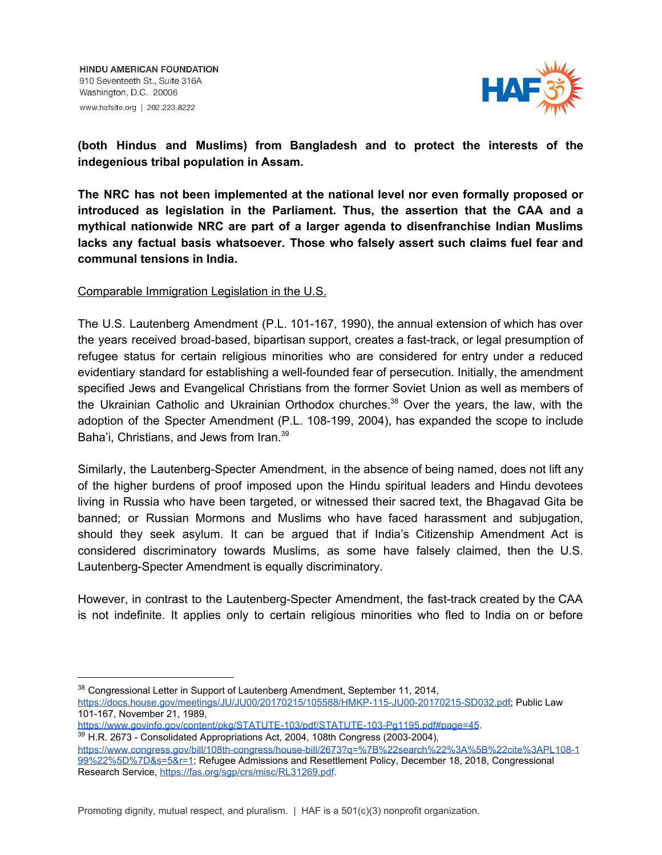

**(both Hindus and Muslims) from Bangladesh and to protect the interests of the indegenious tribal population in Assam.**

**The NRC has not been implemented at the national level nor even formally proposed or introduced as legislation in the Parliament. Thus, the assertion that the CAA and a mythical nationwide NRC are part of a larger agenda to disenfranchise Indian Muslims lacks any factual basis whatsoever. Those who falsely assert such claims fuel fear and communal tensions in India.**

## Comparable Immigration Legislation in the U.S.

The U.S. Lautenberg Amendment (P.L. 101-167, 1990), the annual extension of which has over the years received broad-based, bipartisan support, creates a fast-track, or legal presumption of refugee status for certain religious minorities who are considered for entry under a reduced evidentiary standard for establishing a well-founded fear of persecution. Initially, the amendment specified Jews and Evangelical Christians from the former Soviet Union as well as members of the Ukrainian Catholic and Ukrainian Orthodox churches.<sup>38</sup> Over the years, the law, with the adoption of the Specter Amendment (P.L. 108-199, 2004), has expanded the scope to include Baha'i, Christians, and Jews from Iran.<sup>39</sup>

Similarly, the Lautenberg-Specter Amendment, in the absence of being named, does not lift any of the higher burdens of proof imposed upon the Hindu spiritual leaders and Hindu devotees living in Russia who have been targeted, or witnessed their sacred text, the Bhagavad Gita be banned; or Russian Mormons and Muslims who have faced harassment and subjugation, should they seek asylum. It can be argued that if India's Citizenship Amendment Act is considered discriminatory towards Muslims, as some have falsely claimed, then the U.S. Lautenberg-Specter Amendment is equally discriminatory.

However, in contrast to the Lautenberg-Specter Amendment, the fast-track created by the CAA is not indefinite. It applies only to certain religious minorities who fled to India on or before

<https://www.govinfo.gov/content/pkg/STATUTE-103/pdf/STATUTE-103-Pg1195.pdf#page=45>.

<sup>39</sup> H.R. 2673 - Consolidated Appropriations Act, 2004, 108th Congress (2003-2004), [https://www.congress.gov/bill/108th-congress/house-bill/2673?q=%7B%22search%22%3A%5B%22cite%3APL108-1](https://www.congress.gov/bill/108th-congress/house-bill/2673?q=%7B%22search%22%3A%5B%22cite%3APL108-199%22%5D%7D&s=5&r=1) [99%22%5D%7D&s=5&r=1](https://www.congress.gov/bill/108th-congress/house-bill/2673?q=%7B%22search%22%3A%5B%22cite%3APL108-199%22%5D%7D&s=5&r=1); Refugee Admissions and Resettlement Policy, December 18, 2018, Congressional Research Service, <https://fas.org/sgp/crs/misc/RL31269.pdf>.

<sup>38</sup> Congressional Letter in Support of Lautenberg Amendment, September 11, 2014, <https://docs.house.gov/meetings/JU/JU00/20170215/105588/HMKP-115-JU00-20170215-SD032.pdf>; Public Law 101-167, November 21, 1989,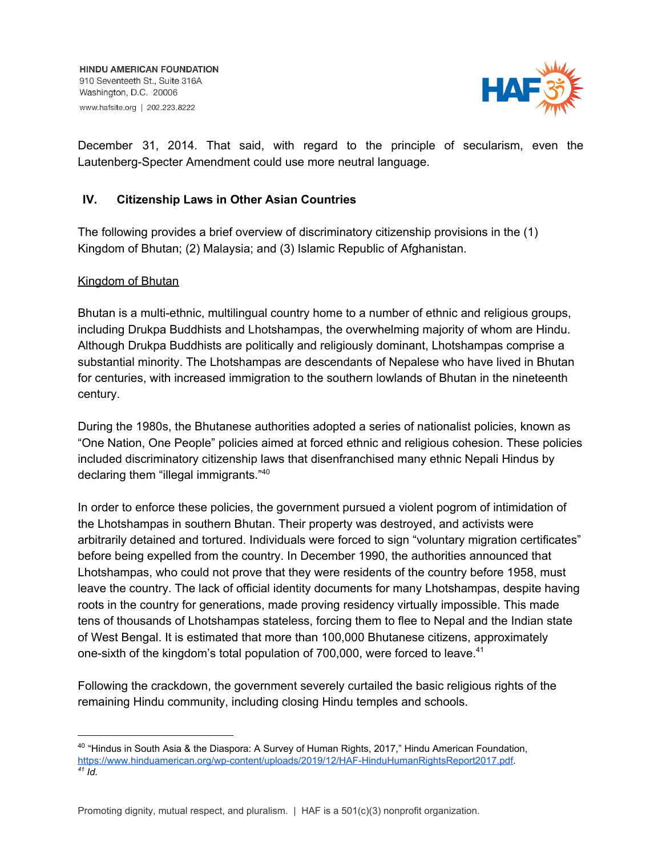

December 31, 2014. That said, with regard to the principle of secularism, even the Lautenberg-Specter Amendment could use more neutral language.

## **IV. Citizenship Laws in Other Asian Countries**

The following provides a brief overview of discriminatory citizenship provisions in the (1) Kingdom of Bhutan; (2) Malaysia; and (3) Islamic Republic of Afghanistan.

## Kingdom of Bhutan

Bhutan is a multi-ethnic, multilingual country home to a number of ethnic and religious groups, including Drukpa Buddhists and Lhotshampas, the overwhelming majority of whom are Hindu. Although Drukpa Buddhists are politically and religiously dominant, Lhotshampas comprise a substantial minority. The Lhotshampas are descendants of Nepalese who have lived in Bhutan for centuries, with increased immigration to the southern lowlands of Bhutan in the nineteenth century.

During the 1980s, the Bhutanese authorities adopted a series of nationalist policies, known as "One Nation, One People" policies aimed at forced ethnic and religious cohesion. These policies included discriminatory citizenship laws that disenfranchised many ethnic Nepali Hindus by declaring them "illegal immigrants."<sup>40</sup>

In order to enforce these policies, the government pursued a violent pogrom of intimidation of the Lhotshampas in southern Bhutan. Their property was destroyed, and activists were arbitrarily detained and tortured. Individuals were forced to sign "voluntary migration certificates" before being expelled from the country. In December 1990, the authorities announced that Lhotshampas, who could not prove that they were residents of the country before 1958, must leave the country. The lack of official identity documents for many Lhotshampas, despite having roots in the country for generations, made proving residency virtually impossible. This made tens of thousands of Lhotshampas stateless, forcing them to flee to Nepal and the Indian state of West Bengal. It is estimated that more than 100,000 Bhutanese citizens, approximately one-sixth of the kingdom's total population of 700,000, were forced to leave.<sup>41</sup>

Following the crackdown, the government severely curtailed the basic religious rights of the remaining Hindu community, including closing Hindu temples and schools.

<sup>&</sup>lt;sup>40</sup> "Hindus in South Asia & the Diaspora: A Survey of Human Rights, 2017," Hindu American Foundation, [https://www.hinduamerican.org/wp-content/uploads/2019/12/HAF-HinduHumanRightsReport2017.pdf.](https://www.hinduamerican.org/wp-content/uploads/2019/12/HAF-HinduHumanRightsReport2017.pdf) *41 Id.*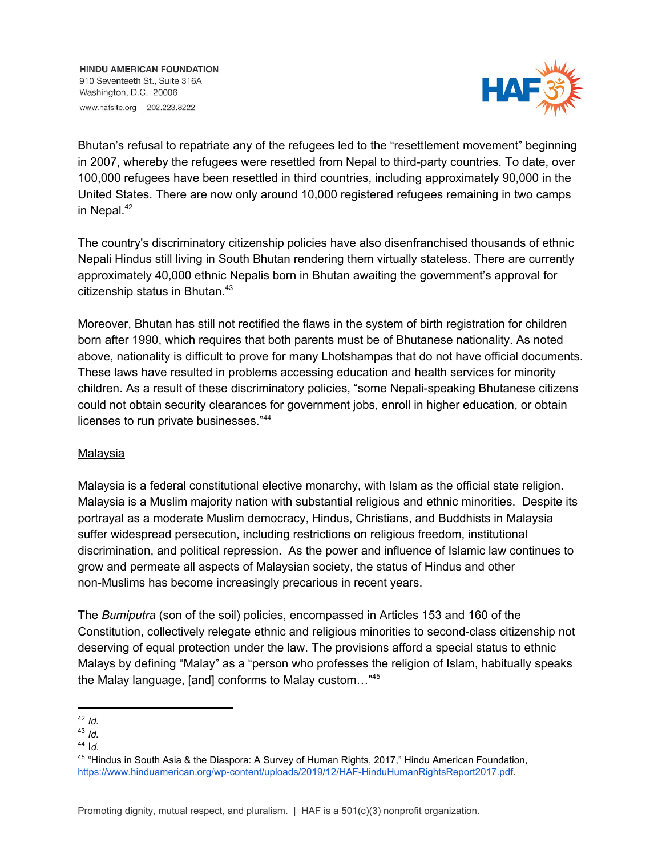**HINDU AMERICAN FOUNDATION** 910 Seventeeth St., Suite 316A Washington, D.C. 20006 www.hafsite.org | 202.223.8222



Bhutan's refusal to repatriate any of the refugees led to the "resettlement movement" beginning in 2007, whereby the refugees were resettled from Nepal to third-party countries. To date, over 100,000 refugees have been resettled in third countries, including approximately 90,000 in the United States. There are now only around 10,000 registered refugees remaining in two camps in Nepal. 42

The country's discriminatory citizenship policies have also disenfranchised thousands of ethnic Nepali Hindus still living in South Bhutan rendering them virtually stateless. There are currently approximately 40,000 ethnic Nepalis born in Bhutan awaiting the government's approval for citizenship status in Bhutan. 43

Moreover, Bhutan has still not rectified the flaws in the system of birth registration for children born after 1990, which requires that both parents must be of Bhutanese nationality. As noted above, nationality is difficult to prove for many Lhotshampas that do not have official documents. These laws have resulted in problems accessing education and health services for minority children. As a result of these discriminatory policies, "some Nepali-speaking Bhutanese citizens could not obtain security clearances for government jobs, enroll in higher education, or obtain licenses to run private businesses." 44

## Malaysia

Malaysia is a federal constitutional elective monarchy, with Islam as the official state religion. Malaysia is a Muslim majority nation with substantial religious and ethnic minorities. Despite its portrayal as a moderate Muslim democracy, Hindus, Christians, and Buddhists in Malaysia suffer widespread persecution, including restrictions on religious freedom, institutional discrimination, and political repression. As the power and influence of Islamic law continues to grow and permeate all aspects of Malaysian society, the status of Hindus and other non-Muslims has become increasingly precarious in recent years.

The *Bumiputra* (son of the soil) policies, encompassed in Articles 153 and 160 of the Constitution, collectively relegate ethnic and religious minorities to second-class citizenship not deserving of equal protection under the law. The provisions afford a special status to ethnic Malays by defining "Malay" as a "person who professes the religion of Islam, habitually speaks the Malay language, [and] conforms to Malay custom…" 45

<sup>44</sup> I*d.*

<sup>42</sup> *Id.*

<sup>43</sup> *Id.*

<sup>45</sup> "Hindus in South Asia & the Diaspora: A Survey of Human Rights, 2017," Hindu American Foundation, [https://www.hinduamerican.org/wp-content/uploads/2019/12/HAF-HinduHumanRightsReport2017.pdf.](https://www.hinduamerican.org/wp-content/uploads/2019/12/HAF-HinduHumanRightsReport2017.pdf)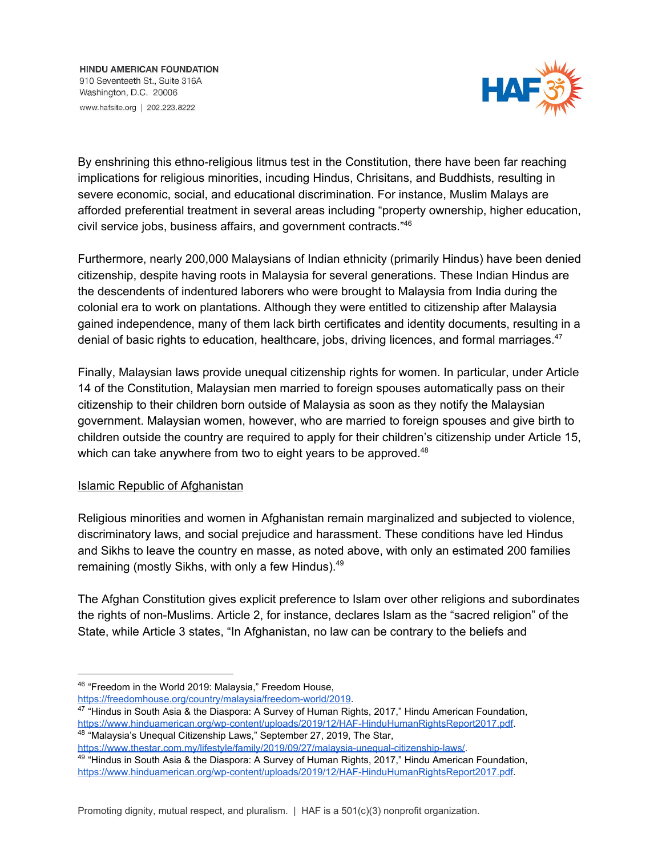

By enshrining this ethno-religious litmus test in the Constitution, there have been far reaching implications for religious minorities, incuding Hindus, Chrisitans, and Buddhists, resulting in severe economic, social, and educational discrimination. For instance, Muslim Malays are afforded preferential treatment in several areas including "property ownership, higher education, civil service jobs, business affairs, and government contracts." 46

Furthermore, nearly 200,000 Malaysians of Indian ethnicity (primarily Hindus) have been denied citizenship, despite having roots in Malaysia for several generations. These Indian Hindus are the descendents of indentured laborers who were brought to Malaysia from India during the colonial era to work on plantations. Although they were entitled to citizenship after Malaysia gained independence, many of them lack birth certificates and identity documents, resulting in a denial of basic rights to education, healthcare, jobs, driving licences, and formal marriages.<sup>47</sup>

Finally, Malaysian laws provide unequal citizenship rights for women. In particular, under Article 14 of the Constitution, Malaysian men married to foreign spouses automatically pass on their citizenship to their children born outside of Malaysia as soon as they notify the Malaysian government. Malaysian women, however, who are married to foreign spouses and give birth to children outside the country are required to apply for their children's citizenship under Article 15, which can take anywhere from two to eight years to be approved.<sup>48</sup>

## Islamic Republic of Afghanistan

Religious minorities and women in Afghanistan remain marginalized and subjected to violence, discriminatory laws, and social prejudice and harassment. These conditions have led Hindus and Sikhs to leave the country en masse, as noted above, with only an estimated 200 families remaining (mostly Sikhs, with only a few Hindus).<sup>49</sup>

The Afghan Constitution gives explicit preference to Islam over other religions and subordinates the rights of non-Muslims. Article 2, for instance, declares Islam as the "sacred religion" of the State, while Article 3 states, "In Afghanistan, no law can be contrary to the beliefs and

<https://www.thestar.com.my/lifestyle/family/2019/09/27/malaysia-unequal-citizenship-laws/>.

<sup>46</sup> "Freedom in the World 2019: Malaysia," Freedom House, [https://freedomhouse.org/country/malaysia/freedom-world/2019.](https://freedomhouse.org/country/malaysia/freedom-world/2019)

<sup>47</sup> "Hindus in South Asia & the Diaspora: A Survey of Human Rights, 2017," Hindu American Foundation, [https://www.hinduamerican.org/wp-content/uploads/2019/12/HAF-HinduHumanRightsReport2017.pdf.](https://www.hinduamerican.org/wp-content/uploads/2019/12/HAF-HinduHumanRightsReport2017.pdf) <sup>48</sup> "Malaysia's Unequal Citizenship Laws," September 27, 2019, The Star,

<sup>&</sup>lt;sup>49</sup> "Hindus in South Asia & the Diaspora: A Survey of Human Rights, 2017," Hindu American Foundation, [https://www.hinduamerican.org/wp-content/uploads/2019/12/HAF-HinduHumanRightsReport2017.pdf.](https://www.hinduamerican.org/wp-content/uploads/2019/12/HAF-HinduHumanRightsReport2017.pdf)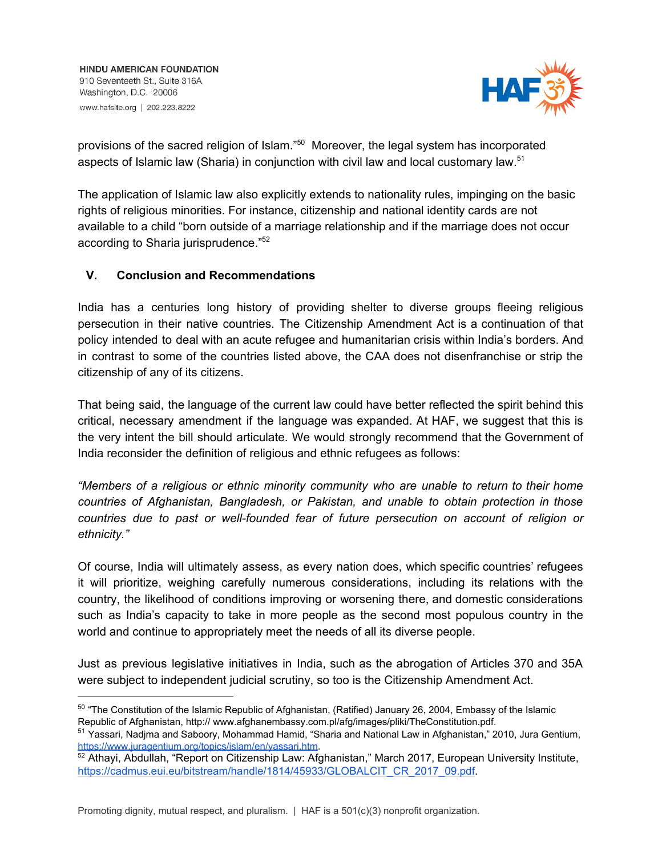

provisions of the sacred religion of Islam."<sup>50</sup> Moreover, the legal system has incorporated aspects of Islamic law (Sharia) in conjunction with civil law and local customary law.<sup>51</sup>

The application of Islamic law also explicitly extends to nationality rules, impinging on the basic rights of religious minorities. For instance, citizenship and national identity cards are not available to a child "born outside of a marriage relationship and if the marriage does not occur according to Sharia jurisprudence."<sup>52</sup>

## **V. Conclusion and Recommendations**

India has a centuries long history of providing shelter to diverse groups fleeing religious persecution in their native countries. The Citizenship Amendment Act is a continuation of that policy intended to deal with an acute refugee and humanitarian crisis within India's borders. And in contrast to some of the countries listed above, the CAA does not disenfranchise or strip the citizenship of any of its citizens.

That being said, the language of the current law could have better reflected the spirit behind this critical, necessary amendment if the language was expanded. At HAF, we suggest that this is the very intent the bill should articulate. We would strongly recommend that the Government of India reconsider the definition of religious and ethnic refugees as follows:

*"Members of a religious or ethnic minority community who are unable to return to their home countries of Afghanistan, Bangladesh, or Pakistan, and unable to obtain protection in those countries due to past or well-founded fear of future persecution on account of religion or ethnicity."*

Of course, India will ultimately assess, as every nation does, which specific countries' refugees it will prioritize, weighing carefully numerous considerations, including its relations with the country, the likelihood of conditions improving or worsening there, and domestic considerations such as India's capacity to take in more people as the second most populous country in the world and continue to appropriately meet the needs of all its diverse people.

Just as previous legislative initiatives in India, such as the abrogation of Articles 370 and 35A were subject to independent judicial scrutiny, so too is the Citizenship Amendment Act.

<sup>&</sup>lt;sup>50</sup> "The Constitution of the Islamic Republic of Afghanistan, (Ratified) January 26, 2004, Embassy of the Islamic Republic of Afghanistan, http:// www.afghanembassy.com.pl/afg/images/pliki/TheConstitution.pdf.

<sup>51</sup> Yassari, Nadjma and Saboory, Mohammad Hamid, "Sharia and National Law in Afghanistan," 2010, Jura Gentium, <https://www.juragentium.org/topics/islam/en/yassari.htm>.

<sup>52</sup> Athayi, Abdullah, "Report on Citizenship Law: Afghanistan," March 2017, European University Institute, [https://cadmus.eui.eu/bitstream/handle/1814/45933/GLOBALCIT\\_CR\\_2017\\_09.pdf.](https://cadmus.eui.eu/bitstream/handle/1814/45933/GLOBALCIT_CR_2017_09.pdf)